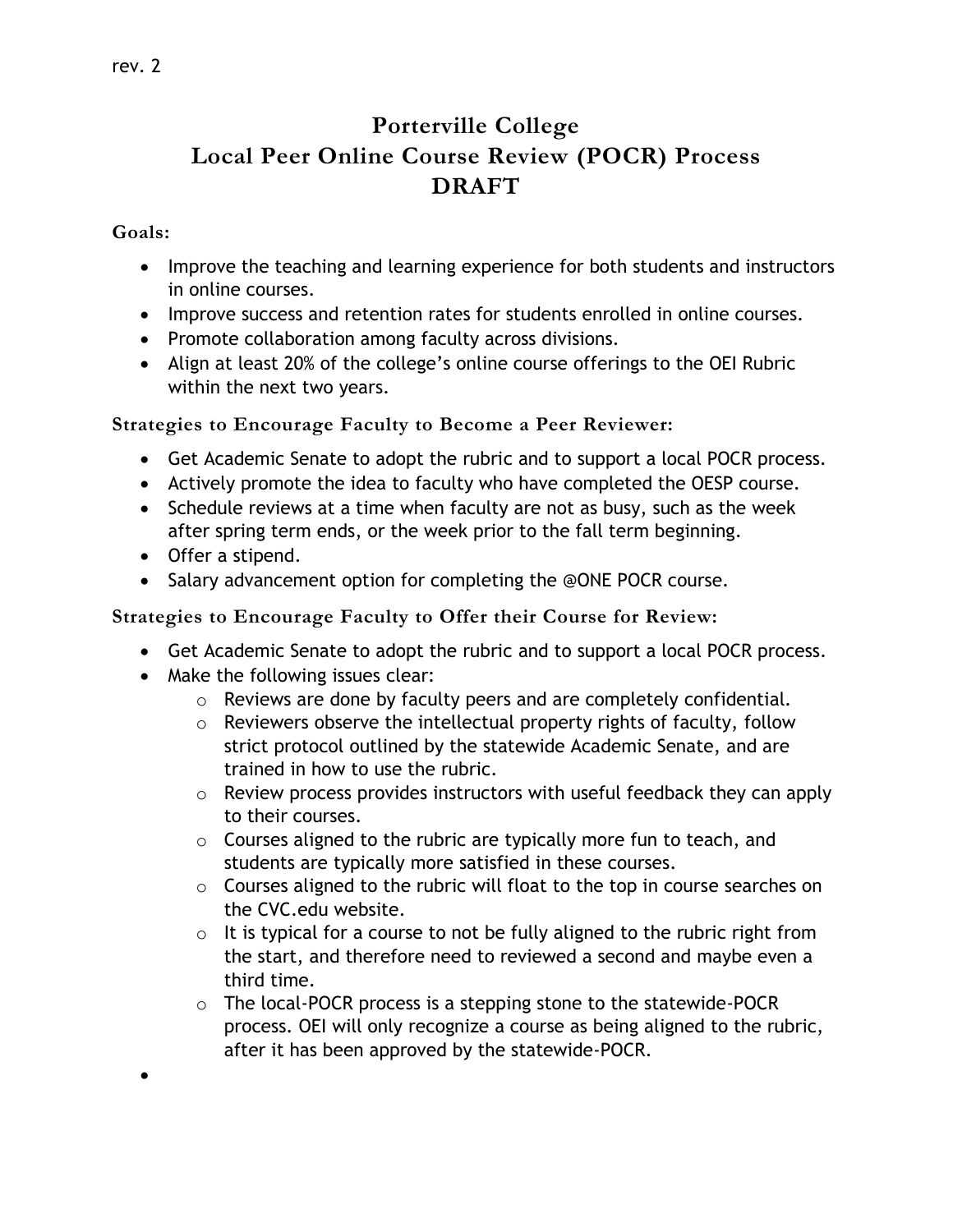## **Porterville College Local Peer Online Course Review (POCR) Process DRAFT**

## **Goals:**

 $\bullet$ 

- Improve the teaching and learning experience for both students and instructors in online courses.
- Improve success and retention rates for students enrolled in online courses.
- Promote collaboration among faculty across divisions.
- Align at least 20% of the college's online course offerings to the OEI Rubric within the next two years.

**Strategies to Encourage Faculty to Become a Peer Reviewer:**

- Get Academic Senate to adopt the rubric and to support a local POCR process.
- Actively promote the idea to faculty who have completed the OESP course.
- Schedule reviews at a time when faculty are not as busy, such as the week after spring term ends, or the week prior to the fall term beginning.
- Offer a stipend.
- Salary advancement option for completing the @ONE POCR course.

**Strategies to Encourage Faculty to Offer their Course for Review:**

- Get Academic Senate to adopt the rubric and to support a local POCR process.
- Make the following issues clear:
	- o Reviews are done by faculty peers and are completely confidential.
	- $\circ$  Reviewers observe the intellectual property rights of faculty, follow strict protocol outlined by the statewide Academic Senate, and are trained in how to use the rubric.
	- o Review process provides instructors with useful feedback they can apply to their courses.
	- $\circ$  Courses aligned to the rubric are typically more fun to teach, and students are typically more satisfied in these courses.
	- $\circ$  Courses aligned to the rubric will float to the top in course searches on the CVC.edu website.
	- $\circ$  It is typical for a course to not be fully aligned to the rubric right from the start, and therefore need to reviewed a second and maybe even a third time.
	- o The local-POCR process is a stepping stone to the statewide-POCR process. OEI will only recognize a course as being aligned to the rubric, after it has been approved by the statewide-POCR.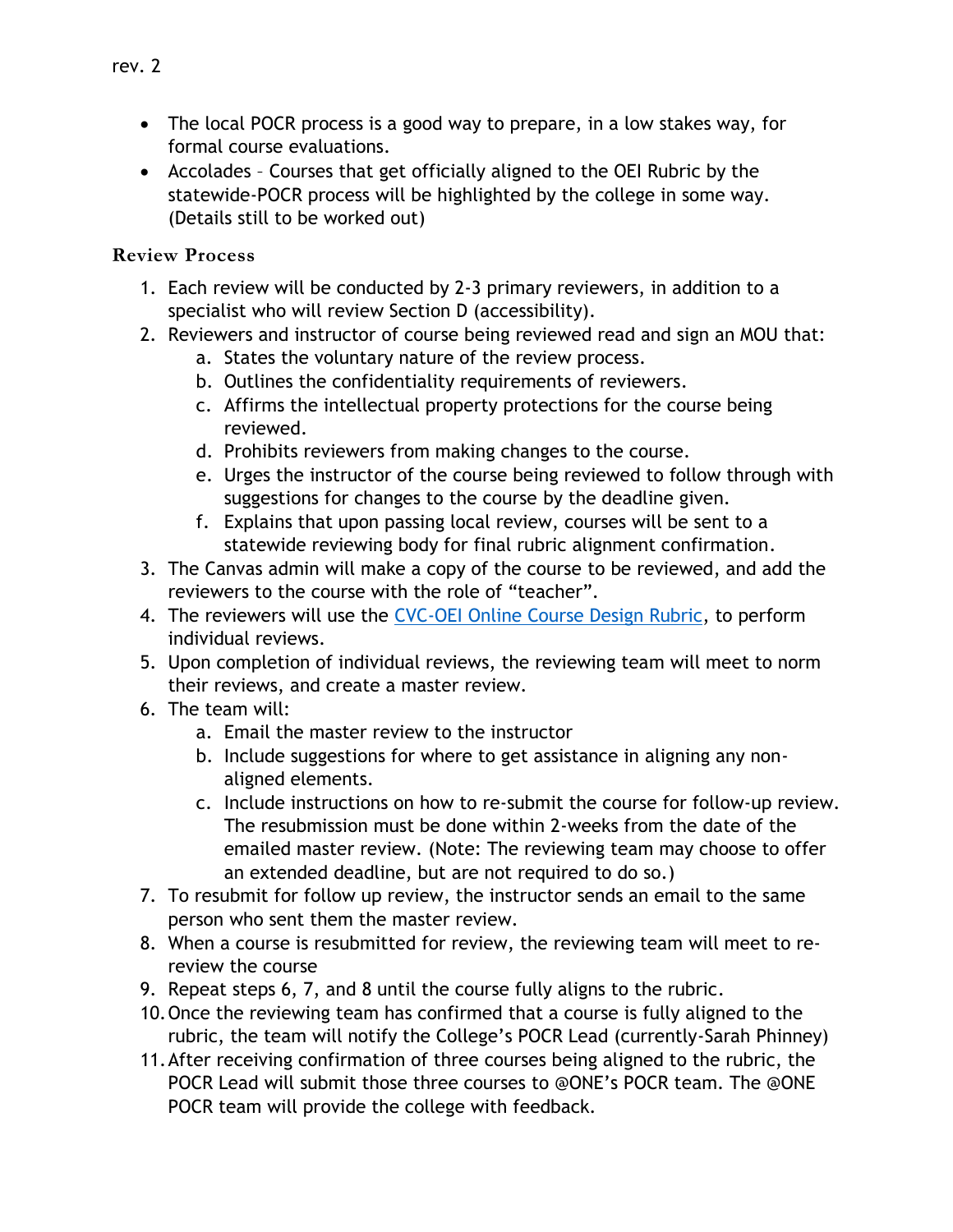- The local POCR process is a good way to prepare, in a low stakes way, for formal course evaluations.
- Accolades Courses that get officially aligned to the OEI Rubric by the statewide-POCR process will be highlighted by the college in some way. (Details still to be worked out)

## **Review Process**

- 1. Each review will be conducted by 2-3 primary reviewers, in addition to a specialist who will review Section D (accessibility).
- 2. Reviewers and instructor of course being reviewed read and sign an MOU that:
	- a. States the voluntary nature of the review process.
	- b. Outlines the confidentiality requirements of reviewers.
	- c. Affirms the intellectual property protections for the course being reviewed.
	- d. Prohibits reviewers from making changes to the course.
	- e. Urges the instructor of the course being reviewed to follow through with suggestions for changes to the course by the deadline given.
	- f. Explains that upon passing local review, courses will be sent to a statewide reviewing body for final rubric alignment confirmation.
- 3. The Canvas admin will make a copy of the course to be reviewed, and add the reviewers to the course with the role of "teacher".
- 4. The reviewers will use the [CVC-OEI Online Course Design Rubric,](https://onlinenetworkofeducators.org/course-design-academy/online-course-rubric/) to perform individual reviews.
- 5. Upon completion of individual reviews, the reviewing team will meet to norm their reviews, and create a master review.
- 6. The team will:
	- a. Email the master review to the instructor
	- b. Include suggestions for where to get assistance in aligning any nonaligned elements.
	- c. Include instructions on how to re-submit the course for follow-up review. The resubmission must be done within 2-weeks from the date of the emailed master review. (Note: The reviewing team may choose to offer an extended deadline, but are not required to do so.)
- 7. To resubmit for follow up review, the instructor sends an email to the same person who sent them the master review.
- 8. When a course is resubmitted for review, the reviewing team will meet to rereview the course
- 9. Repeat steps 6, 7, and 8 until the course fully aligns to the rubric.
- 10.Once the reviewing team has confirmed that a course is fully aligned to the rubric, the team will notify the College's POCR Lead (currently-Sarah Phinney)
- 11.After receiving confirmation of three courses being aligned to the rubric, the POCR Lead will submit those three courses to @ONE's POCR team. The @ONE POCR team will provide the college with feedback.